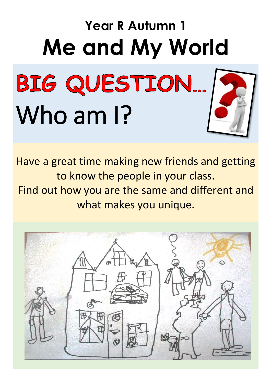# **Year R Autumn 1 Me and My World**

# BIG QUESTION... Who am 1?



Have a great time making new friends and getting to know the people in your class. Find out how you are the same and different and what makes you unique.

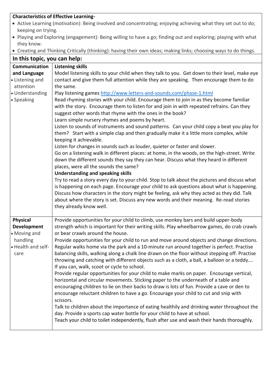| <b>Characteristics of Effective Learning-</b>                                                                    |                                                                                                                                                                                                                                                                                                                                                                                                                                                                                                                                                                                                                         |  |
|------------------------------------------------------------------------------------------------------------------|-------------------------------------------------------------------------------------------------------------------------------------------------------------------------------------------------------------------------------------------------------------------------------------------------------------------------------------------------------------------------------------------------------------------------------------------------------------------------------------------------------------------------------------------------------------------------------------------------------------------------|--|
| • Active Learning (motivation): Being involved and concentrating; enjoying achieving what they set out to do;    |                                                                                                                                                                                                                                                                                                                                                                                                                                                                                                                                                                                                                         |  |
| keeping on trying.                                                                                               |                                                                                                                                                                                                                                                                                                                                                                                                                                                                                                                                                                                                                         |  |
| • Playing and Exploring (engagement): Being willing to have a go; finding out and exploring; playing with what   |                                                                                                                                                                                                                                                                                                                                                                                                                                                                                                                                                                                                                         |  |
| they know.                                                                                                       |                                                                                                                                                                                                                                                                                                                                                                                                                                                                                                                                                                                                                         |  |
| • Creating and Thinking Critically (thinking): having their own ideas; making links; choosing ways to do things. |                                                                                                                                                                                                                                                                                                                                                                                                                                                                                                                                                                                                                         |  |
| In this topic, you can help:                                                                                     |                                                                                                                                                                                                                                                                                                                                                                                                                                                                                                                                                                                                                         |  |
| Communication                                                                                                    | <b>Listening skills</b>                                                                                                                                                                                                                                                                                                                                                                                                                                                                                                                                                                                                 |  |
| and Language<br>• Listening and                                                                                  | Model listening skills to your child when they talk to you. Get down to their level, make eye<br>contact and give them full attention while they are speaking. Then encourage them to do                                                                                                                                                                                                                                                                                                                                                                                                                                |  |
| attention                                                                                                        | the same.                                                                                                                                                                                                                                                                                                                                                                                                                                                                                                                                                                                                               |  |
| • Understanding                                                                                                  | Play listening games http://www.letters-and-sounds.com/phase-1.html                                                                                                                                                                                                                                                                                                                                                                                                                                                                                                                                                     |  |
| • Speaking                                                                                                       | Read rhyming stories with your child. Encourage them to join in as they become familiar<br>with the story. Encourage them to listen for and join in with repeated refrains. Can they<br>suggest other words that rhyme with the ones in the book?<br>Learn simple nursery rhymes and poems by heart.                                                                                                                                                                                                                                                                                                                    |  |
|                                                                                                                  | Listen to sounds of instruments and sound patterns. Can your child copy a beat you play for<br>them? Start with a simple clap and then gradually make it a little more complex, while<br>keeping it achievable.                                                                                                                                                                                                                                                                                                                                                                                                         |  |
|                                                                                                                  | Listen for changes in sounds such as louder, quieter or faster and slower.<br>Go on a listening walk in different places: at home, in the woods, on the high-street. Write<br>down the different sounds they say they can hear. Discuss what they heard in different<br>places, were all the sounds the same?<br><b>Understanding and speaking skills</b>                                                                                                                                                                                                                                                               |  |
|                                                                                                                  | Try to read a story every day to your child. Stop to talk about the pictures and discuss what<br>is happening on each page. Encourage your child to ask questions about what is happening.<br>Discuss how characters in the story might be feeling, ask why they acted as they did. Talk<br>about where the story is set. Discuss any new words and their meaning. Re-read stories<br>they already know well.                                                                                                                                                                                                           |  |
| <b>Physical</b><br><b>Development</b><br>• Moving and                                                            | Provide opportunities for your child to climb, use monkey bars and build upper-body<br>strength which is important for their writing skills. Play wheelbarrow games, do crab crawls<br>or bear crawls around the house.                                                                                                                                                                                                                                                                                                                                                                                                 |  |
| handling<br>• Health and self-<br>care                                                                           | Provide opportunities for your child to run and move around objects and change directions.<br>Regular walks home via the park and a 10-minute run around together is perfect. Practise<br>balancing skills, walking along a chalk line drawn on the floor without stepping off. Practise<br>throwing and catching with different objects such as a cloth, a ball, a balloon or a teddy<br>If you can, walk, scoot or cycle to school.<br>Provide regular opportunities for your child to make marks on paper. Encourage vertical,<br>horizontal and circular movements. Sticking paper to the underneath of a table and |  |
|                                                                                                                  | encouraging children to lie on their backs to draw is lots of fun. Provide a cave or den to<br>encourage reluctant children to have a go. Encourage your child to cut and snip with<br>scissors.<br>Talk to children about the importance of eating healthily and drinking water throughout the<br>day. Provide a sports cap water bottle for your child to have at school.<br>Teach your child to toilet independently, flush after use and wash their hands thoroughly.                                                                                                                                               |  |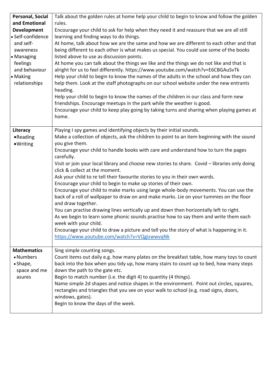| Personal, Social<br>and Emotional<br><b>Development</b><br>· Self-confidence<br>and self-<br>awareness<br>• Managing<br>feelings<br>and behaviour<br>• Making<br>relationships | Talk about the golden rules at home help your child to begin to know and follow the golden<br>rules.<br>Encourage your child to ask for help when they need it and reassure that we are all still<br>learning and finding ways to do things.<br>At home, talk about how we are the same and how we are different to each other and that<br>being different to each other is what makes us special. You could use some of the books<br>listed above to use as discussion points.<br>At home you can talk about the things we like and the things we do not like and that is<br>alright for us to feel differently. https://www.youtube.com/watch?v=E6CBGAuSvTk<br>Help your child to begin to know the names of the adults in the school and how they can<br>help them. Look at the staff photographs on our school website under the new entrants<br>heading.<br>Help your child to begin to know the names of the children in our class and form new<br>friendships. Encourage meetups in the park while the weather is good.<br>Encourage your child to keep play going by taking turns and sharing when playing games at<br>home.             |
|--------------------------------------------------------------------------------------------------------------------------------------------------------------------------------|--------------------------------------------------------------------------------------------------------------------------------------------------------------------------------------------------------------------------------------------------------------------------------------------------------------------------------------------------------------------------------------------------------------------------------------------------------------------------------------------------------------------------------------------------------------------------------------------------------------------------------------------------------------------------------------------------------------------------------------------------------------------------------------------------------------------------------------------------------------------------------------------------------------------------------------------------------------------------------------------------------------------------------------------------------------------------------------------------------------------------------------------------|
| Literacy<br>•Reading<br>·Writing                                                                                                                                               | Playing I spy games and identifying objects by their initial sounds.<br>Make a collection of objects, ask the children to point to an item beginning with the sound<br>you give them.<br>Encourage your child to handle books with care and understand how to turn the pages<br>carefully.<br>Visit or join your local library and choose new stories to share. Covid - libraries only doing<br>click & collect at the moment.<br>Ask your child to re tell their favourite stories to you in their own words.<br>Encourage your child to begin to make up stories of their own.<br>Encourage your child to make marks using large whole-body movements. You can use the<br>back of a roll of wallpaper to draw on and make marks. Lie on your tummies on the floor<br>and draw together.<br>You can practise drawing lines vertically up and down then horizontally left to right.<br>As we begin to learn some phonic sounds practise how to say them and write them each<br>week with your child.<br>Encourage your child to draw a picture and tell you the story of what is happening in it.<br>https://www.youtube.com/watch?v=VQgizwwvqNk |
| <b>Mathematics</b><br>• Numbers<br>• Shape,<br>space and me<br>asures                                                                                                          | Sing simple counting songs.<br>Count items out daily e.g. how many plates on the breakfast table, how many toys to count<br>back into the box when you tidy up, how many stairs to count up to bed, how many steps<br>down the path to the gate etc.<br>Begin to match number (i.e. the digit 4) to quantity (4 things).<br>Name simple 2d shapes and notice shapes in the environment. Point out circles, squares,<br>rectangles and triangles that you see on your walk to school (e.g. road signs, doors,<br>windows, gates).<br>Begin to know the days of the week.                                                                                                                                                                                                                                                                                                                                                                                                                                                                                                                                                                          |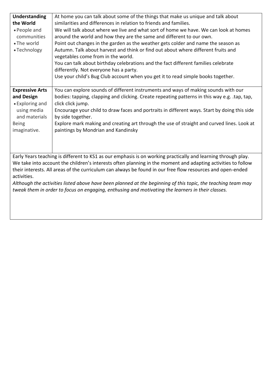| Understanding<br>the World<br>• People and<br>communities<br>• The world<br>• Technology                     | At home you can talk about some of the things that make us unique and talk about<br>similarities and differences in relation to friends and families.<br>We will talk about where we live and what sort of home we have. We can look at homes<br>around the world and how they are the same and different to our own.<br>Point out changes in the garden as the weather gets colder and name the season as<br>Autumn. Talk about harvest and think or find out about where different fruits and<br>vegetables come from in the world.<br>You can talk about birthday celebrations and the fact different families celebrate<br>differently. Not everyone has a party.<br>Use your child's Bug Club account when you get it to read simple books together. |  |
|--------------------------------------------------------------------------------------------------------------|-----------------------------------------------------------------------------------------------------------------------------------------------------------------------------------------------------------------------------------------------------------------------------------------------------------------------------------------------------------------------------------------------------------------------------------------------------------------------------------------------------------------------------------------------------------------------------------------------------------------------------------------------------------------------------------------------------------------------------------------------------------|--|
| <b>Expressive Arts</b>                                                                                       | You can explore sounds of different instruments and ways of making sounds with our                                                                                                                                                                                                                                                                                                                                                                                                                                                                                                                                                                                                                                                                        |  |
| and Design                                                                                                   | bodies: tapping, clapping and clicking. Create repeating patterns in this way e.g. .tap, tap,                                                                                                                                                                                                                                                                                                                                                                                                                                                                                                                                                                                                                                                             |  |
| • Exploring and                                                                                              | click click jump.                                                                                                                                                                                                                                                                                                                                                                                                                                                                                                                                                                                                                                                                                                                                         |  |
| using media                                                                                                  | Encourage your child to draw faces and portraits in different ways. Start by doing this side                                                                                                                                                                                                                                                                                                                                                                                                                                                                                                                                                                                                                                                              |  |
| and materials                                                                                                |                                                                                                                                                                                                                                                                                                                                                                                                                                                                                                                                                                                                                                                                                                                                                           |  |
|                                                                                                              | by side together.                                                                                                                                                                                                                                                                                                                                                                                                                                                                                                                                                                                                                                                                                                                                         |  |
| <b>Being</b>                                                                                                 | Explore mark making and creating art through the use of straight and curved lines. Look at                                                                                                                                                                                                                                                                                                                                                                                                                                                                                                                                                                                                                                                                |  |
| imaginative.                                                                                                 | paintings by Mondrian and Kandinsky                                                                                                                                                                                                                                                                                                                                                                                                                                                                                                                                                                                                                                                                                                                       |  |
|                                                                                                              |                                                                                                                                                                                                                                                                                                                                                                                                                                                                                                                                                                                                                                                                                                                                                           |  |
|                                                                                                              | Early Years teaching is different to KS1 as our emphasis is on working practically and learning through play.                                                                                                                                                                                                                                                                                                                                                                                                                                                                                                                                                                                                                                             |  |
| We take into account the children's interests often planning in the moment and adapting activities to follow |                                                                                                                                                                                                                                                                                                                                                                                                                                                                                                                                                                                                                                                                                                                                                           |  |
| their interests. All areas of the curriculum can always be found in our free flow resources and open-ended   |                                                                                                                                                                                                                                                                                                                                                                                                                                                                                                                                                                                                                                                                                                                                                           |  |
| activities.                                                                                                  |                                                                                                                                                                                                                                                                                                                                                                                                                                                                                                                                                                                                                                                                                                                                                           |  |
| Although the activities listed above have been planned at the beginning of this topic, the teaching team may |                                                                                                                                                                                                                                                                                                                                                                                                                                                                                                                                                                                                                                                                                                                                                           |  |
| tweak them in order to focus on engaging, enthusing and motivating the learners in their classes.            |                                                                                                                                                                                                                                                                                                                                                                                                                                                                                                                                                                                                                                                                                                                                                           |  |
|                                                                                                              |                                                                                                                                                                                                                                                                                                                                                                                                                                                                                                                                                                                                                                                                                                                                                           |  |
|                                                                                                              |                                                                                                                                                                                                                                                                                                                                                                                                                                                                                                                                                                                                                                                                                                                                                           |  |
|                                                                                                              |                                                                                                                                                                                                                                                                                                                                                                                                                                                                                                                                                                                                                                                                                                                                                           |  |
|                                                                                                              |                                                                                                                                                                                                                                                                                                                                                                                                                                                                                                                                                                                                                                                                                                                                                           |  |